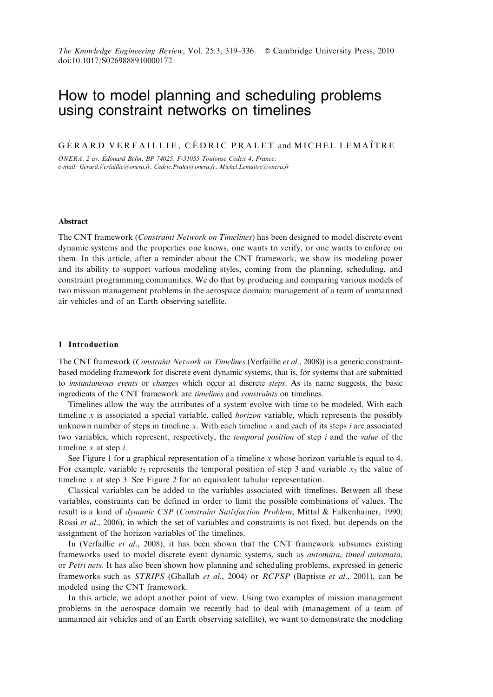The Knowledge Engineering Review, Vol. 25:3, 319–336. & Cambridge University Press, 2010 doi:10.1017/S0269888910000172

# How to model planning and scheduling problems using constraint networks on timelines

GÉRARD VERFAILLIE, CÉDRIC PRALET and MICHEL LEMAÎTRE

ONERA, 2 av. Édouard Belin, BP 74025, F-31055 Toulouse Cedex 4, France; e-mail: Gerard.Verfaillie@onera.fr, Cedric.Pralet@onera.fr, Michel.Lemaitre@onera.fr

# Abstract

The CNT framework (Constraint Network on Timelines) has been designed to model discrete event dynamic systems and the properties one knows, one wants to verify, or one wants to enforce on them. In this article, after a reminder about the CNT framework, we show its modeling power and its ability to support various modeling styles, coming from the planning, scheduling, and constraint programming communities. We do that by producing and comparing various models of two mission management problems in the aerospace domain: management of a team of unmanned air vehicles and of an Earth observing satellite.

#### 1 Introduction

The CNT framework (*Constraint Network on Timelines* (Verfaillie *et al.*, 2008)) is a generic constraintbased modeling framework for discrete event dynamic systems, that is, for systems that are submitted to instantaneous events or changes which occur at discrete steps. As its name suggests, the basic ingredients of the CNT framework are timelines and constraints on timelines.

Timelines allow the way the attributes of a system evolve with time to be modeled. With each timeline x is associated a special variable, called *horizon* variable, which represents the possibly unknown number of steps in timeline x. With each timeline x and each of its steps  $i$  are associated two variables, which represent, respectively, the temporal position of step i and the value of the timeline x at step i.

See Figure 1 for a graphical representation of a timeline x whose horizon variable is equal to 4. For example, variable  $t_3$  represents the temporal position of step 3 and variable  $x_3$  the value of timeline x at step 3. See Figure 2 for an equivalent tabular representation.

Classical variables can be added to the variables associated with timelines. Between all these variables, constraints can be defined in order to limit the possible combinations of values. The result is a kind of dynamic CSP (Constraint Satisfaction Problem; Mittal & Falkenhainer, 1990; Rossi et al., 2006), in which the set of variables and constraints is not fixed, but depends on the assignment of the horizon variables of the timelines.

In (Verfaillie et al., 2008), it has been shown that the CNT framework subsumes existing frameworks used to model discrete event dynamic systems, such as automata, timed automata, or Petri nets. It has also been shown how planning and scheduling problems, expressed in generic frameworks such as STRIPS (Ghallab et al., 2004) or RCPSP (Baptiste et al., 2001), can be modeled using the CNT framework.

In this article, we adopt another point of view. Using two examples of mission management problems in the aerospace domain we recently had to deal with (management of a team of unmanned air vehicles and of an Earth observing satellite), we want to demonstrate the modeling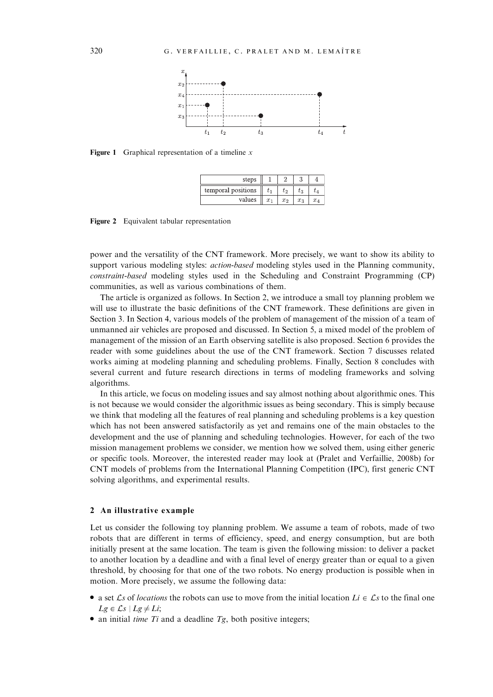

**Figure 1** Graphical representation of a timeline  $x$ 

| steps              |         |       |  |
|--------------------|---------|-------|--|
| temporal positions | τo      | tз    |  |
| values             | $x_{2}$ | $x_3$ |  |

Figure 2 Equivalent tabular representation

power and the versatility of the CNT framework. More precisely, we want to show its ability to support various modeling styles: action-based modeling styles used in the Planning community, constraint-based modeling styles used in the Scheduling and Constraint Programming (CP) communities, as well as various combinations of them.

The article is organized as follows. In Section 2, we introduce a small toy planning problem we will use to illustrate the basic definitions of the CNT framework. These definitions are given in Section 3. In Section 4, various models of the problem of management of the mission of a team of unmanned air vehicles are proposed and discussed. In Section 5, a mixed model of the problem of management of the mission of an Earth observing satellite is also proposed. Section 6 provides the reader with some guidelines about the use of the CNT framework. Section 7 discusses related works aiming at modeling planning and scheduling problems. Finally, Section 8 concludes with several current and future research directions in terms of modeling frameworks and solving algorithms.

In this article, we focus on modeling issues and say almost nothing about algorithmic ones. This is not because we would consider the algorithmic issues as being secondary. This is simply because we think that modeling all the features of real planning and scheduling problems is a key question which has not been answered satisfactorily as yet and remains one of the main obstacles to the development and the use of planning and scheduling technologies. However, for each of the two mission management problems we consider, we mention how we solved them, using either generic or specific tools. Moreover, the interested reader may look at (Pralet and Verfaillie, 2008b) for CNT models of problems from the International Planning Competition (IPC), first generic CNT solving algorithms, and experimental results.

## 2 An illustrative example

Let us consider the following toy planning problem. We assume a team of robots, made of two robots that are different in terms of efficiency, speed, and energy consumption, but are both initially present at the same location. The team is given the following mission: to deliver a packet to another location by a deadline and with a final level of energy greater than or equal to a given threshold, by choosing for that one of the two robots. No energy production is possible when in motion. More precisely, we assume the following data:

- a set Ls of locations the robots can use to move from the initial location Li  $\in \mathcal{L}_s$  to the final one  $Lg \in \mathcal{L}s \mid Lg \neq Li;$
- $\bullet$  an initial *time Ti* and a deadline  $Tg$ , both positive integers;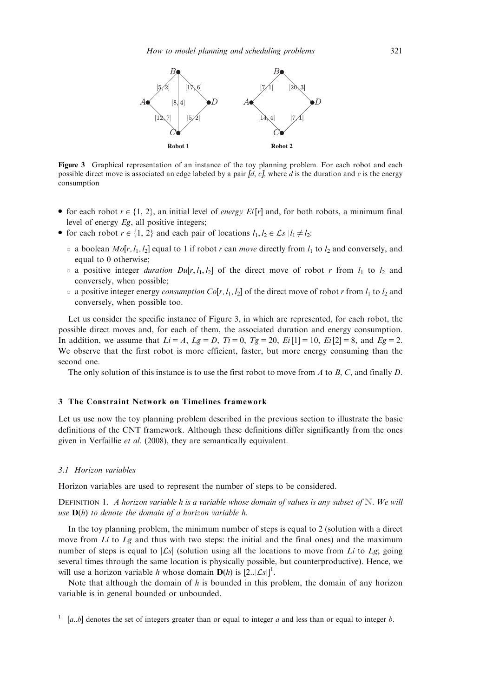

Figure 3 Graphical representation of an instance of the toy planning problem. For each robot and each possible direct move is associated an edge labeled by a pair  $[d, c]$ , where d is the duration and c is the energy consumption

- for each robot  $r \in \{1, 2\}$ , an initial level of *energy Ei* [r] and, for both robots, a minimum final level of energy Eg, all positive integers;
- for each robot  $r \in \{1, 2\}$  and each pair of locations  $l_1, l_2 \in \mathcal{L} s$   $|l_1 \neq l_2$ :
	- $\circ$  a boolean Mo[r, l<sub>1</sub>, l<sub>2</sub>] equal to 1 if robot r can move directly from l<sub>1</sub> to l<sub>2</sub> and conversely, and equal to 0 otherwise;
	- $\circ$  a positive integer *duration Du*[r,  $l_1$ ,  $l_2$ ] of the direct move of robot r from  $l_1$  to  $l_2$  and conversely, when possible;
	- $\circ$  a positive integer energy consumption Co[r, l<sub>1</sub>, l<sub>2</sub>] of the direct move of robot r from l<sub>1</sub> to l<sub>2</sub> and conversely, when possible too.

Let us consider the specific instance of Figure 3, in which are represented, for each robot, the possible direct moves and, for each of them, the associated duration and energy consumption. In addition, we assume that  $Li = A$ ,  $Lg = D$ ,  $Ti = 0$ ,  $Tg = 20$ ,  $Ei[1] = 10$ ,  $Ei[2] = 8$ , and  $Eg = 2$ . We observe that the first robot is more efficient, faster, but more energy consuming than the second one.

The only solution of this instance is to use the first robot to move from  $A$  to  $B$ ,  $C$ , and finally  $D$ .

# 3 The Constraint Network on Timelines framework

Let us use now the toy planning problem described in the previous section to illustrate the basic definitions of the CNT framework. Although these definitions differ significantly from the ones given in Verfaillie et al. (2008), they are semantically equivalent.

# 3.1 Horizon variables

Horizon variables are used to represent the number of steps to be considered.

DEFINITION 1. A horizon variable h is a variable whose domain of values is any subset of  $\mathbb N$ . We will use  $D(h)$  to denote the domain of a horizon variable h.

In the toy planning problem, the minimum number of steps is equal to 2 (solution with a direct move from  $Li$  to  $Lg$  and thus with two steps: the initial and the final ones) and the maximum number of steps is equal to  $|\mathcal{L}_s|$  (solution using all the locations to move from Li to Lg; going several times through the same location is physically possible, but counterproductive). Hence, we will use a horizon variable h whose domain  $D(h)$  is  $[2..|\mathcal{L}_S|]$ <sup>1</sup>.

Note that although the domain of  $h$  is bounded in this problem, the domain of any horizon variable is in general bounded or unbounded.

 $1 \quad [a..b]$  denotes the set of integers greater than or equal to integer a and less than or equal to integer b.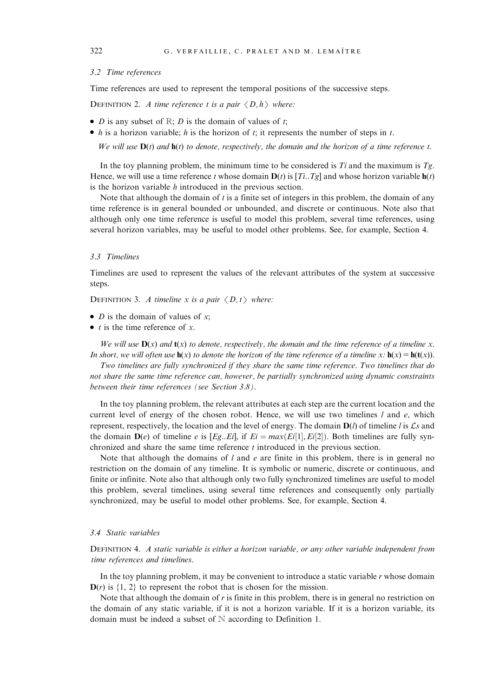## 3.2 Time references

Time references are used to represent the temporal positions of the successive steps.

DEFINITION 2. A time reference t is a pair  $\langle D, h \rangle$  where:

- $\bullet$  *D* is any subset of R; *D* is the domain of values of *t*;
- $\bullet$  h is a horizon variable; h is the horizon of t; it represents the number of steps in t.

We will use  $D(t)$  and  $h(t)$  to denote, respectively, the domain and the horizon of a time reference t.

In the toy planning problem, the minimum time to be considered is  $Ti$  and the maximum is  $Tg$ . Hence, we will use a time reference t whose domain  $D(t)$  is  $[T_i..T_g]$  and whose horizon variable  $h(t)$ is the horizon variable h introduced in the previous section.

Note that although the domain of  $t$  is a finite set of integers in this problem, the domain of any time reference is in general bounded or unbounded, and discrete or continuous. Note also that although only one time reference is useful to model this problem, several time references, using several horizon variables, may be useful to model other problems. See, for example, Section 4.

#### 3.3 Timelines

Timelines are used to represent the values of the relevant attributes of the system at successive steps.

**DEFINITION 3.** A timeline x is a pair  $\langle D, t \rangle$  where:

- $\bullet$  *D* is the domain of values of *x*;
- $\bullet$  t is the time reference of x.

We will use  $\mathbf{D}(x)$  and  $\mathbf{t}(x)$  to denote, respectively, the domain and the time reference of a timeline x. In short, we will often use  $h(x)$  to denote the horizon of the time reference of a timeline x:  $h(x) = h(t(x))$ .

Two timelines are fully synchronized if they share the same time reference. Two timelines that do not share the same time reference can, however, be partially synchronized using dynamic constraints between their time references (see Section 3.8).

In the toy planning problem, the relevant attributes at each step are the current location and the current level of energy of the chosen robot. Hence, we will use two timelines  $l$  and  $e$ , which represent, respectively, the location and the level of energy. The domain  $D(l)$  of timeline l is Ls and the domain  $\mathbf{D}(e)$  of timeline e is [Eg..Ei], if  $E_i = max(E_i[1], E_i[2])$ . Both timelines are fully synchronized and share the same time reference  $t$  introduced in the previous section.

Note that although the domains of l and e are finite in this problem, there is in general no restriction on the domain of any timeline. It is symbolic or numeric, discrete or continuous, and finite or infinite. Note also that although only two fully synchronized timelines are useful to model this problem, several timelines, using several time references and consequently only partially synchronized, may be useful to model other problems. See, for example, Section 4.

#### 3.4 Static variables

DEFINITION 4. A static variable is either a horizon variable, or any other variable independent from time references and timelines.

In the toy planning problem, it may be convenient to introduce a static variable  $r$  whose domain  $D(r)$  is  $\{1, 2\}$  to represent the robot that is chosen for the mission.

Note that although the domain of  $r$  is finite in this problem, there is in general no restriction on the domain of any static variable, if it is not a horizon variable. If it is a horizon variable, its domain must be indeed a subset of N according to Definition 1.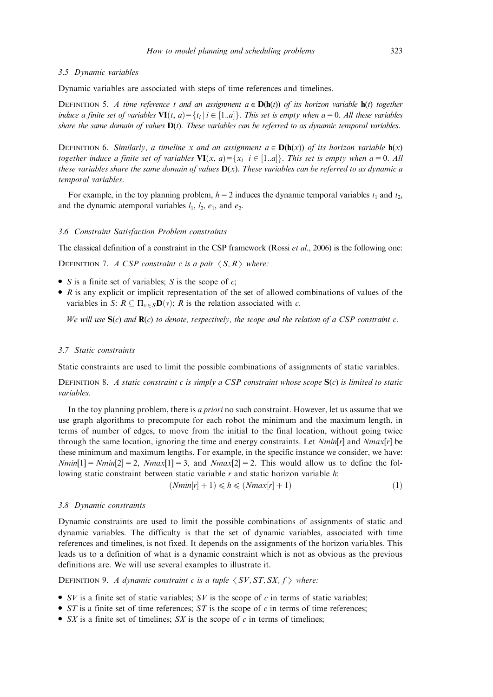## 3.5 Dynamic variables

Dynamic variables are associated with steps of time references and timelines.

DEFINITION 5. A time reference t and an assignment  $a \in D(h(t))$  of its horizon variable  $h(t)$  together induce a finite set of variables  $\mathbf{Vl}(t, a) = \{t_i | i \in [1..a]\}$ . This set is empty when  $a = 0$ . All these variables share the same domain of values  $D(t)$ . These variables can be referred to as dynamic temporal variables.

DEFINITION 6. Similarly, a timeline x and an assignment  $a \in D(h(x))$  of its horizon variable  $h(x)$ together induce a finite set of variables  $VI(x, a) = \{x_i | i \in [1..a]\}$ . This set is empty when  $a = 0$ . All these variables share the same domain of values  $D(x)$ . These variables can be referred to as dynamic a temporal variables.

For example, in the toy planning problem,  $h = 2$  induces the dynamic temporal variables  $t_1$  and  $t_2$ , and the dynamic atemporal variables  $l_1$ ,  $l_2$ ,  $e_1$ , and  $e_2$ .

#### 3.6 Constraint Satisfaction Problem constraints

The classical definition of a constraint in the CSP framework (Rossi *et al.*, 2006) is the following one:

DEFINITION 7. A CSP constraint c is a pair  $\langle S, R \rangle$  where:

- S is a finite set of variables; S is the scope of  $c$ ;
- $\bullet$  R is any explicit or implicit representation of the set of allowed combinations of values of the variables in S:  $R \subseteq \Pi_{v \in S}$ **D** $(v)$ ; R is the relation associated with c.

We will use  $S(c)$  and  $R(c)$  to denote, respectively, the scope and the relation of a CSP constraint c.

#### 3.7 Static constraints

Static constraints are used to limit the possible combinations of assignments of static variables.

DEFINITION 8. A static constraint c is simply a CSP constraint whose scope  $S(c)$  is limited to static variables.

In the toy planning problem, there is a priori no such constraint. However, let us assume that we use graph algorithms to precompute for each robot the minimum and the maximum length, in terms of number of edges, to move from the initial to the final location, without going twice through the same location, ignoring the time and energy constraints. Let  $Nmin[r]$  and  $Nmax[r]$  be these minimum and maximum lengths. For example, in the specific instance we consider, we have:  $Nmin[1] = Nmin[2] = 2$ ,  $Nmax[1] = 3$ , and  $Nmax[2] = 2$ . This would allow us to define the following static constraint between static variable  $r$  and static horizon variable  $h$ :

$$
(Nmin[r] + 1) \leq h \leq (Nmax[r] + 1)
$$
\n<sup>(1)</sup>

#### 3.8 Dynamic constraints

Dynamic constraints are used to limit the possible combinations of assignments of static and dynamic variables. The difficulty is that the set of dynamic variables, associated with time references and timelines, is not fixed. It depends on the assignments of the horizon variables. This leads us to a definition of what is a dynamic constraint which is not as obvious as the previous definitions are. We will use several examples to illustrate it.

DEFINITION 9. A dynamic constraint c is a tuple  $\langle SV, ST, SX, f \rangle$  where:

- $SV$  is a finite set of static variables;  $SV$  is the scope of c in terms of static variables;
- ST is a finite set of time references; ST is the scope of c in terms of time references;
- $SX$  is a finite set of timelines;  $SX$  is the scope of c in terms of timelines;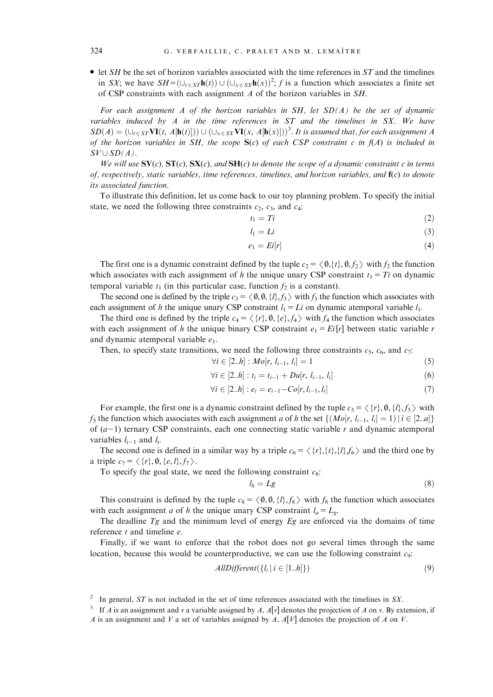$\bullet$  let *SH* be the set of horizon variables associated with the time references in *ST* and the timelines in SX; we have  $SH = (\bigcup_{t \in ST} \mathbf{h}(t)) \cup (\bigcup_{x \in SX} \mathbf{h}(x))^2$ ; f is a function which associates a finite set of CSP constraints with each assignment A of the horizon variables in SH.

For each assignment A of the horizon variables in SH, let  $SD(A)$  be the set of dynamic variables induced by  $A$  in the time references in  $ST$  and the timelines in  $SX$ . We have  $SD(A) = (\cup_{t \in ST} \mathbf{VI}(t, A[\mathbf{h}(t)])) \cup (\cup_{x \in SX} \mathbf{VI}(x, A[\mathbf{h}(x)]))^3$ . It is assumed that, for each assignment A of the horizon variables in SH, the scope  $S(c)$  of each CSP constraint c in  $f(A)$  is included in  $SV \cup SD(A)$ .

We will use  $SV(c)$ ,  $ST(c)$ ,  $SX(c)$ , and  $SH(c)$  to denote the scope of a dynamic constraint c in terms of, respectively, static variables, time references, timelines, and horizon variables, and  $f(c)$  to denote its associated function.

To illustrate this definition, let us come back to our toy planning problem. To specify the initial state, we need the following three constraints  $c_2$ ,  $c_3$ , and  $c_4$ :

$$
t_1 = Ti \tag{2}
$$

$$
l_1 = Li \tag{3}
$$

$$
e_1 = Ei[r] \tag{4}
$$

The first one is a dynamic constraint defined by the tuple  $c_2 = \langle \emptyset, \{t\}, \emptyset, f_2 \rangle$  with  $f_2$  the function which associates with each assignment of h the unique unary CSP constraint  $t_1 = Ti$  on dynamic temporal variable  $t_1$  (in this particular case, function  $f_2$  is a constant).

The second one is defined by the triple  $c_3 = \langle \emptyset, \emptyset, \{l\}, f_3 \rangle$  with  $f_3$  the function which associates with each assignment of h the unique unary CSP constraint  $l_1 = Li$  on dynamic atemporal variable  $l_1$ .

The third one is defined by the triple  $c_4 = \langle \{r\}, \emptyset, \{e\}, f_4 \rangle$  with  $f_4$  the function which associates with each assignment of h the unique binary CSP constraint  $e_1 = Ei[r]$  between static variable r and dynamic atemporal variable  $e_1$ .

Then, to specify state transitions, we need the following three constraints  $c_5$ ,  $c_6$ , and  $c_7$ :

$$
\forall i \in [2..h] : Mo[r, l_{i-1}, l_i] = 1 \tag{5}
$$

$$
\forall i \in [2..h]: t_i = t_{i-1} + Du[r, l_{i-1}, l_i]
$$
(6)

$$
\forall i \in [2..h] : e_i = e_{i-1} - Co[r, l_{i-1}, l_i]
$$
\n
$$
(7)
$$

For example, the first one is a dynamic constraint defined by the tuple  $c_5 = \langle \{r\}, \emptyset, \{l\}, f_5 \rangle$  with  $f_5$  the function which associates with each assignment a of h the set  $\{(Mo[r, l_{i-1}, l_i] = 1) | i \in [2..a]\}$ of  $(a-1)$  ternary CSP constraints, each one connecting static variable r and dynamic atemporal variables  $l_{i-1}$  and  $l_i$ .

The second one is defined in a similar way by a triple  $c_6 = \langle \{r\}, \{t\}, \{l\}, f_6 \rangle$  and the third one by a triple  $c_7 = \langle \{r\}, \emptyset, \{e, l\}, f_7 \rangle$ .

To specify the goal state, we need the following constraint  $c_8$ :

$$
l_h = Lg \tag{8}
$$

This constraint is defined by the tuple  $c_8 = \langle \emptyset, \emptyset, \{l\}, f_8 \rangle$  with  $f_8$  the function which associates with each assignment a of h the unique unary CSP constraint  $l_a = L_g$ .

The deadline  $Tg$  and the minimum level of energy  $Eg$  are enforced via the domains of time reference  $t$  and timeline  $e$ .

Finally, if we want to enforce that the robot does not go several times through the same location, because this would be counterproductive, we can use the following constraint  $c_9$ :

$$
AllDifferent({li | i \in [1..h])
$$
\n
$$
(9)
$$

In general,  $ST$  is not included in the set of time references associated with the timelines in  $SX$ .

If A is an assignment and v a variable assigned by A,  $A[v]$  denotes the projection of A on v. By extension, if A is an assignment and V a set of variables assigned by A,  $A[V]$  denotes the projection of A on V.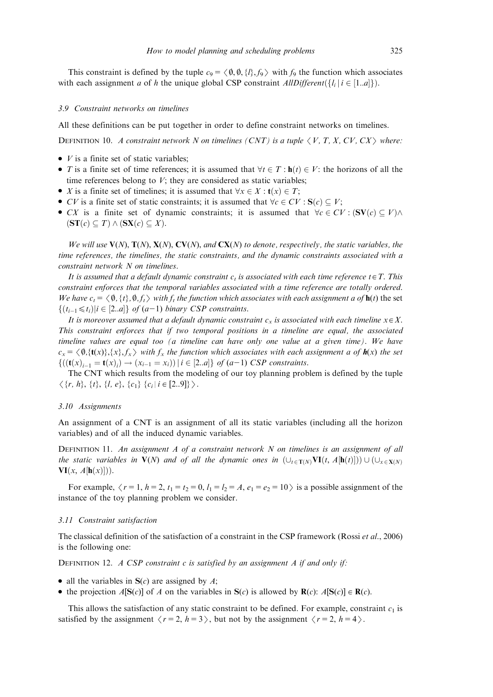This constraint is defined by the tuple  $c_9 = \langle \emptyset, \emptyset, \{l\}, f_9 \rangle$  with  $f_9$  the function which associates with each assignment *a* of *h* the unique global CSP constraint  $AllDifferent({l_i | i \in [1..a]})$ .

#### 3.9 Constraint networks on timelines

All these definitions can be put together in order to define constraint networks on timelines.

DEFINITION 10. A constraint network N on timelines (CNT) is a tuple  $\langle V, T, X, CV, CX \rangle$  where:

- $\bullet$  *V* is a finite set of static variables;
- T is a finite set of time references; it is assumed that  $\forall t \in T : \mathbf{h}(t) \in V$ : the horizons of all the time references belong to  $V$ ; they are considered as static variables;
- X is a finite set of timelines; it is assumed that  $\forall x \in X : t(x) \in T$ ;
- CV is a finite set of static constraints; it is assumed that  $\forall c \in CV : S(c) \subseteq V$ ;
- CX is a finite set of dynamic constraints; it is assumed that  $\forall c \in CV : (\mathbf{SV}(c) \subseteq V) \wedge$  $(\mathbf{ST}(c) \subseteq T) \wedge (\mathbf{SX}(c) \subseteq X).$

We will use  $V(N)$ ,  $T(N)$ ,  $X(N)$ ,  $CV(N)$ , and  $CX(N)$  to denote, respectively, the static variables, the time references, the timelines, the static constraints, and the dynamic constraints associated with a constraint network N on timelines.

It is assumed that a default dynamic constraint  $c_t$  is associated with each time reference  $t \in T$ . This constraint enforces that the temporal variables associated with a time reference are totally ordered. We have  $c_t = \langle \emptyset, \{t\}, \emptyset, f_t \rangle$  with f<sub>t</sub> the function which associates with each assignment a of **h**(t) the set  $\{(t_{i-1} \leq t_i)|i \in [2..a]\}$  of  $(a-1)$  binary CSP constraints.

It is moreover assumed that a default dynamic constraint  $c_x$  is associated with each timeline  $x \in X$ . This constraint enforces that if two temporal positions in a timeline are equal, the associated timeline values are equal too (a timeline can have only one value at a given time). We have  $c_x = \langle \emptyset, \{t(x)\}, \{x\}, f_x \rangle$  with  $f_x$  the function which associates with each assignment a of  $h(x)$  the set  $\{((\mathbf{t}(x)_{i-1} = \mathbf{t}(x)_i) \rightarrow (x_{i-1} = x_i)) | i \in [2..a]\} \text{ of } (a-1) \text{ CSP constraints.}$ 

The CNT which results from the modeling of our toy planning problem is defined by the tuple  $\langle \{r, h\}, \{t\}, \{l, e\}, \{c_1\} \{c_i | i \in [2..9]\}\rangle.$ 

## 3.10 Assignments

An assignment of a CNT is an assignment of all its static variables (including all the horizon variables) and of all the induced dynamic variables.

DEFINITION 11. An assignment  $A$  of a constraint network  $N$  on timelines is an assignment of all the static variables in  $V(N)$  and of all the dynamic ones in  $(\cup_{t \in T(N)} VI(t, A[h(t)])) \cup (\cup_{x \in X(N)}$  $VI(x, A[h(x)])).$ 

For example,  $\zeta r = 1$ ,  $h = 2$ ,  $t_1 = t_2 = 0$ ,  $l_1 = l_2 = A$ ,  $e_1 = e_2 = 10$  is a possible assignment of the instance of the toy planning problem we consider.

#### 3.11 Constraint satisfaction

The classical definition of the satisfaction of a constraint in the CSP framework (Rossi et al., 2006) is the following one:

DEFINITION 12. A CSP constraint c is satisfied by an assignment A if and only if:

- all the variables in  $S(c)$  are assigned by A;
- the projection  $A[S(c)]$  of A on the variables in  $S(c)$  is allowed by  $R(c): A[S(c)] \in R(c)$ .

This allows the satisfaction of any static constraint to be defined. For example, constraint  $c_1$  is satisfied by the assignment  $\langle r = 2, h = 3 \rangle$ , but not by the assignment  $\langle r = 2, h = 4 \rangle$ .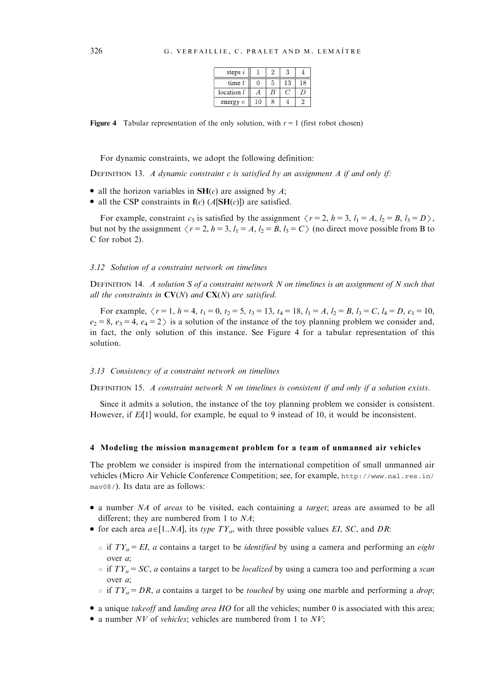| steps $i$    |   |    |  |
|--------------|---|----|--|
| time $t$     | 5 | 13 |  |
| location $l$ | B |    |  |
| energy $e$   |   |    |  |

**Figure 4** Tabular representation of the only solution, with  $r = 1$  (first robot chosen)

For dynamic constraints, we adopt the following definition:

DEFINITION 13. A dynamic constraint c is satisfied by an assignment A if and only if:

- all the horizon variables in  $SH(c)$  are assigned by A;
- all the CSP constraints in  $f(c)$  (A[SH(c)]) are satisfied.

For example, constraint  $c_5$  is satisfied by the assignment  $\langle r = 2, h = 3, l_1 = A, l_2 = B, l_3 = D \rangle$ , but not by the assignment  $\langle r = 2, h = 3, l_1 = A, l_2 = B, l_3 = C \rangle$  (no direct move possible from B to C for robot 2).

# 3.12 Solution of a constraint network on timelines

DEFINITION 14. A solution  $S$  of a constraint network  $N$  on timelines is an assignment of  $N$  such that all the constraints in  $CV(N)$  and  $CX(N)$  are satisfied.

For example,  $\zeta r = 1$ ,  $h = 4$ ,  $t_1 = 0$ ,  $t_2 = 5$ ,  $t_3 = 13$ ,  $t_4 = 18$ ,  $l_1 = A$ ,  $l_2 = B$ ,  $l_3 = C$ ,  $l_4 = D$ ,  $e_1 = 10$ ,  $e_2 = 8$ ,  $e_3 = 4$ ,  $e_4 = 2$  is a solution of the instance of the toy planning problem we consider and, in fact, the only solution of this instance. See Figure 4 for a tabular representation of this solution.

# 3.13 Consistency of a constraint network on timelines

DEFINITION 15. A constraint network  $N$  on timelines is consistent if and only if a solution exists.

Since it admits a solution, the instance of the toy planning problem we consider is consistent. However, if  $E[i]$  would, for example, be equal to 9 instead of 10, it would be inconsistent.

#### 4 Modeling the mission management problem for a team of unmanned air vehicles

The problem we consider is inspired from the international competition of small unmanned air vehicles (Micro Air Vehicle Conference Competition; see, for example, http://www.nal.res.in/ mav08/). Its data are as follows:

- a number NA of *areas* to be visited, each containing a *target*; areas are assumed to be all different; they are numbered from 1 to  $NA$ ;
- for each area  $a \in [1..NA]$ , its type  $TY_a$ , with three possible values EI, SC, and DR:
	- $\circ$  if  $TY_a = EI$ , a contains a target to be *identified* by using a camera and performing an *eight* over a;
	- $\circ$  if  $TY_a = SC$ , a contains a target to be *localized* by using a camera too and performing a scan over a;
	- $\circ$  if  $TT_a = DR$ , a contains a target to be *touched* by using one marble and performing a *drop*;
- a unique *takeoff* and *landing area HO* for all the vehicles; number 0 is associated with this area;
- $\bullet$  a number NV of vehicles; vehicles are numbered from 1 to NV;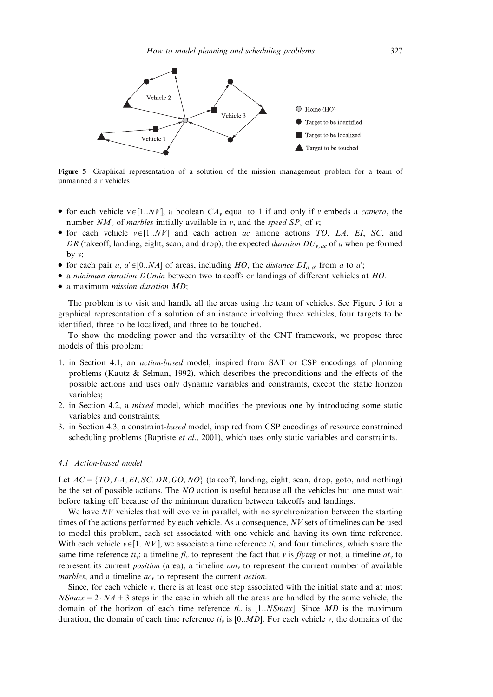

Figure 5 Graphical representation of a solution of the mission management problem for a team of unmanned air vehicles

- for each vehicle  $v \in [1..NV]$ , a boolean  $CA_v$  equal to 1 if and only if v embeds a *camera*, the number  $NM_{v}$  of *marbles* initially available in v, and the *speed*  $SP_{v}$  of v;
- for each vehicle  $v \in [1..NV]$  and each action ac among actions TO, LA, EI, SC, and DR (takeoff, landing, eight, scan, and drop), the expected duration  $DU_{v, ac}$  of a when performed by  $v$ ;
- for each pair a,  $a' \in [0..NA]$  of areas, including HO, the distance  $DI_{a,a'}$  from a to  $a'$ ;
- a minimum duration DUmin between two takeoffs or landings of different vehicles at HO.
- a maximum *mission duration MD*:

The problem is to visit and handle all the areas using the team of vehicles. See Figure 5 for a graphical representation of a solution of an instance involving three vehicles, four targets to be identified, three to be localized, and three to be touched.

To show the modeling power and the versatility of the CNT framework, we propose three models of this problem:

- 1. in Section 4.1, an action-based model, inspired from SAT or CSP encodings of planning problems (Kautz & Selman, 1992), which describes the preconditions and the effects of the possible actions and uses only dynamic variables and constraints, except the static horizon variables;
- 2. in Section 4.2, a mixed model, which modifies the previous one by introducing some static variables and constraints;
- 3. in Section 4.3, a constraint-based model, inspired from CSP encodings of resource constrained scheduling problems (Baptiste et al., 2001), which uses only static variables and constraints.

#### 4.1 Action-based model

Let  $AC = \{TO, LA, EI, SC, DR, GO, NO\}$  (takeoff, landing, eight, scan, drop, goto, and nothing) be the set of possible actions. The NO action is useful because all the vehicles but one must wait before taking off because of the minimum duration between takeoffs and landings.

We have  $N<sub>V</sub>$  vehicles that will evolve in parallel, with no synchronization between the starting times of the actions performed by each vehicle. As a consequence, NV sets of timelines can be used to model this problem, each set associated with one vehicle and having its own time reference. With each vehicle  $v \in [1..NV]$ , we associate a time reference  $ti<sub>v</sub>$  and four timelines, which share the same time reference  $t_i$ : a timeline  $fl_v$  to represent the fact that v is flying or not, a timeline  $at_v$  to represent its current *position* (area), a timeline  $nm<sub>v</sub>$  to represent the current number of available *marbles*, and a timeline  $ac_v$  to represent the current *action*.

Since, for each vehicle  $\nu$ , there is at least one step associated with the initial state and at most  $NSmax = 2 \cdot NA + 3$  steps in the case in which all the areas are handled by the same vehicle, the domain of the horizon of each time reference  $t_i$  is [1..*NSmax*]. Since MD is the maximum duration, the domain of each time reference  $t_i$ , is [0..*MD*]. For each vehicle v, the domains of the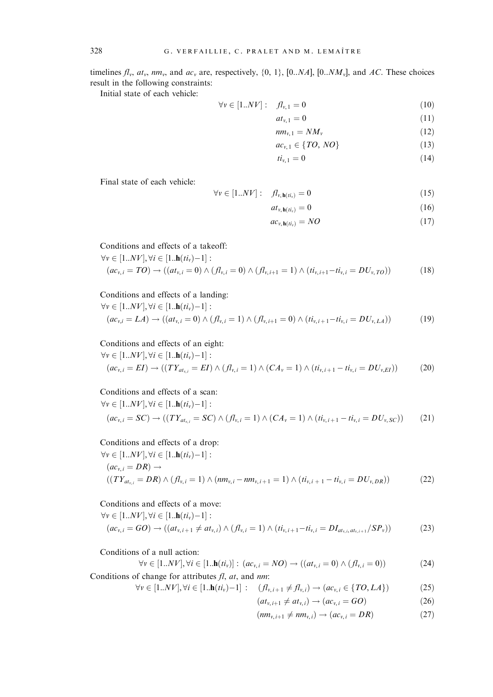timelines  $f_v$ ,  $at_v$ ,  $nm_v$ , and  $ac_v$  are, respectively,  $\{0, 1\}$ ,  $[0..NA]$ ,  $[0..NM_v]$ , and AC. These choices result in the following constraints:

Initial state of each vehicle:

$$
\forall v \in [1..NV]: \quad fl_{v,1} = 0 \tag{10}
$$

$$
at_{v,1}=0 \tag{11}
$$

$$
nm_{v,1}=NM_v\tag{12}
$$

$$
ac_{v,1} \in \{TO, NO\} \tag{13}
$$

$$
ti_{v,1} = 0 \tag{14}
$$

Final state of each vehicle:

$$
\forall v \in [1..NV]: \quad fl_{v,\mathbf{h}(ti_v)} = 0 \tag{15}
$$

$$
at_{v,\mathbf{h}(ti_v)} = 0 \tag{16}
$$

$$
ac_{v, \mathbf{h}(ti_v)} = NO \tag{17}
$$

Conditions and effects of a takeoff:

$$
\forall v \in [1..NV], \forall i \in [1..h(ii_v)-1]:(ac_{v,i} = TO) \rightarrow ((at_{v,i} = 0) \land (fl_{v,i} = 0) \land (fl_{v,i+1} = 1) \land (ti_{v,i+1} - ti_{v,i} = DU_{v,TO}))
$$
(18)

Conditions and effects of a landing:

$$
\forall v \in [1..NV], \forall i \in [1..h(ii_v)-1]:(ac_{v,i} = LA) \rightarrow ((at_{v,i} = 0) \land (fl_{v,i} = 1) \land (fl_{v,i+1} = 0) \land (ti_{v,i+1} - ti_{v,i} = DU_{v,LA}))
$$
(19)

Conditions and effects of an eight:

$$
\forall v \in [1..NV], \forall i \in [1..h(ii_v)-1]:(ac_{v,i} = EI) \rightarrow ((TY_{at_{v,i}} = EI) \land (fl_{v,i} = 1) \land (CA_v = 1) \land (ti_{v,i+1} - ti_{v,i} = DU_{v,EI}))
$$
(20)

Conditions and effects of a scan:

$$
\forall v \in [1..NV], \forall i \in [1..h(ii_v)-1]:(ac_{v,i} = SC) \rightarrow ((TY_{at_{v,i}} = SC) \land (fl_{v,i} = 1) \land (CA_v = 1) \land (ti_{v,i+1} - ti_{v,i} = DU_{v,SC}))
$$
(21)

Conditions and effects of a drop:

$$
\forall v \in [1..NV], \forall i \in [1..h(ii_v)-1]:(ac_{v,i} = DR) \rightarrow ((TY_{at_{v,i}} = DR) \land (fl_{v,i} = 1) \land (nm_{v,i} - nm_{v,i+1} = 1) \land (ti_{v,i+1} - ti_{v,i} = DU_{v,DR}))
$$
(22)

Conditions and effects of a move:

$$
\forall v \in [1..NV], \forall i \in [1..h(ii_v)-1]:(ac_{v,i} = GO) \rightarrow ((at_{v,i+1} \neq at_{v,i}) \land (fl_{v,i} = 1) \land (ti_{v,i+1} - ti_{v,i} = DI_{at_{v,i},at_{v,i+1}}/SP_v))
$$
(23)

Conditions of a null action:

$$
\forall v \in [1..NV], \forall i \in [1..h(ii_v)] : (ac_{v,i} = NO) \rightarrow ((at_{v,i} = 0) \land (fl_{v,i} = 0))
$$
(24)  
Conditions of change for attributes *fl*, *at*, and *nm*:

$$
\forall v \in [1..NV], \forall i \in [1..h(ii_v)-1] : (fl_{v,i+1} \neq fl_{v,i}) \rightarrow (ac_{v,i} \in \{TO, LA\})
$$
 (25)

$$
(at_{v,i+1} \neq at_{v,i}) \rightarrow (ac_{v,i} = GO)
$$
 (26)

$$
(nm_{v,i+1} \neq nm_{v,i}) \rightarrow (ac_{v,i} = DR) \tag{27}
$$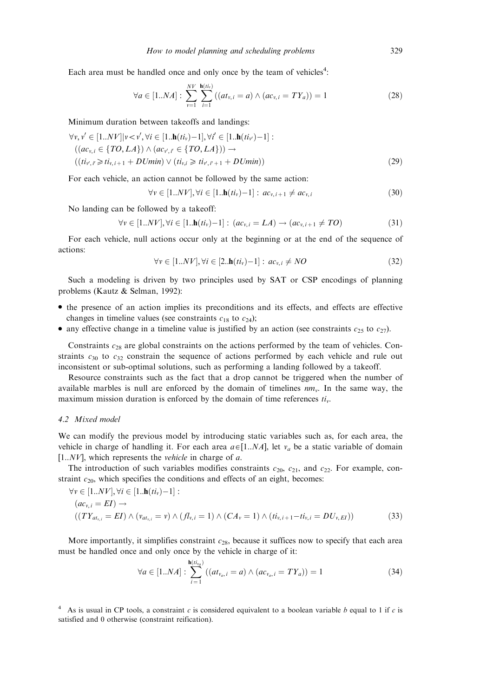Each area must be handled once and only once by the team of vehicles<sup>4</sup>:

$$
\forall a \in [1..NA]: \sum_{\nu=1}^{NV} \sum_{i=1}^{\mathbf{h}(u_{\nu})} ((at_{\nu,i} = a) \land (ac_{\nu,i} = TY_a)) = 1
$$
 (28)

Minimum duration between takeoffs and landings:

$$
\forall v, v' \in [1..NV]|v < v', \forall i \in [1..h(ii_v)-1], \forall i' \in [1..h(ii_{v'})-1]:((ac_{v,i} \in \{TO, LA\}) \land (ac_{v',i'} \in \{TO, LA\})) \rightarrow((ti_{v',i'} \geq ti_{v,i+1} + DUmin) \lor (ti_{v,i} \geq ti_{v',i'+1} + DUmin))
$$
\n(29)

For each vehicle, an action cannot be followed by the same action:

$$
\forall v \in [1..NV], \forall i \in [1..h(it_v)-1]: ac_{v,i+1} \neq ac_{v,i} \tag{30}
$$

No landing can be followed by a takeoff:

$$
\forall v \in [1..NV], \forall i \in [1..h(it_v)-1]: (ac_{v,i}=LA) \rightarrow (ac_{v,i+1} \neq TO)
$$
\n(31)

For each vehicle, null actions occur only at the beginning or at the end of the sequence of actions:

$$
\forall v \in [1..NV], \forall i \in [2..h(ii_v)-1]: ac_{v,i} \neq NO \tag{32}
$$

Such a modeling is driven by two principles used by SAT or CSP encodings of planning problems (Kautz & Selman, 1992):

- <sup>&</sup>gt; the presence of an action implies its preconditions and its effects, and effects are effective changes in timeline values (see constraints  $c_{18}$  to  $c_{24}$ );
- any effective change in a timeline value is justified by an action (see constraints  $c_{25}$  to  $c_{27}$ ).

Constraints  $c_{28}$  are global constraints on the actions performed by the team of vehicles. Constraints  $c_{30}$  to  $c_{32}$  constrain the sequence of actions performed by each vehicle and rule out inconsistent or sub-optimal solutions, such as performing a landing followed by a takeoff.

Resource constraints such as the fact that a drop cannot be triggered when the number of available marbles is null are enforced by the domain of timelines  $nm_v$ . In the same way, the maximum mission duration is enforced by the domain of time references  $t_i$ .

## 4.2 Mixed model

We can modify the previous model by introducing static variables such as, for each area, the vehicle in charge of handling it. For each area  $a \in [1..NA]$ , let  $v_a$  be a static variable of domain  $[1..NV]$ , which represents the *vehicle* in charge of a.

The introduction of such variables modifies constraints  $c_{20}$ ,  $c_{21}$ , and  $c_{22}$ . For example, constraint  $c_{20}$ , which specifies the conditions and effects of an eight, becomes:

$$
\forall v \in [1..NV], \forall i \in [1..h(ii_v)-1]:(ac_{v,i} = EI) \rightarrow((TY_{at_{v,i}} = EI) \land (v_{at_{v,i}} = v) \land (fl_{v,i} = 1) \land (CA_v = 1) \land (ti_{v,i+1} - ti_{v,i} = DU_{v,EI}))
$$
(33)

More importantly, it simplifies constraint  $c_{28}$ , because it suffices now to specify that each area must be handled once and only once by the vehicle in charge of it:

$$
\forall a \in [1..NA] : \sum_{i=1}^{\mathbf{h}(t_{v_a})} ((at_{v_a,i} = a) \land (ac_{v_a,i} = TY_a)) = 1
$$
\n(34)

<sup>&</sup>lt;sup>4</sup> As is usual in CP tools, a constraint c is considered equivalent to a boolean variable b equal to 1 if c is satisfied and 0 otherwise (constraint reification).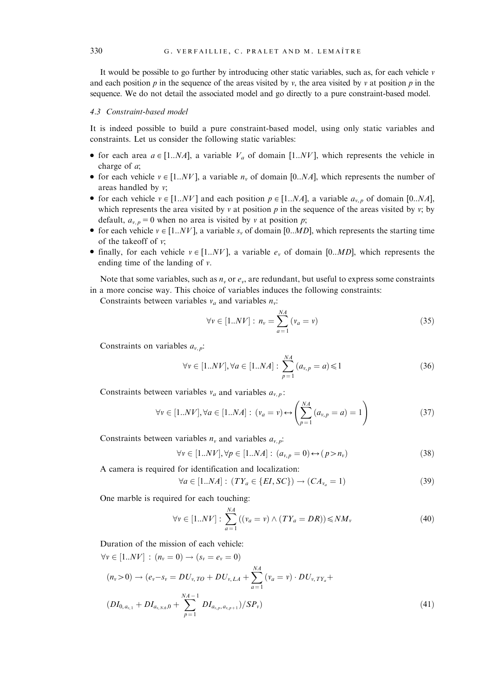It would be possible to go further by introducing other static variables, such as, for each vehicle  $\nu$ and each position p in the sequence of the areas visited by v, the area visited by v at position p in the sequence. We do not detail the associated model and go directly to a pure constraint-based model.

#### 4.3 Constraint-based model

It is indeed possible to build a pure constraint-based model, using only static variables and constraints. Let us consider the following static variables:

- for each area  $a \in [1..N4]$ , a variable  $V_a$  of domain  $[1..NV]$ , which represents the vehicle in charge of a;
- for each vehicle  $v \in [1..NV]$ , a variable  $n<sub>v</sub>$  of domain [0..NA], which represents the number of areas handled by v;
- for each vehicle  $v \in [1..NV]$  and each position  $p \in [1..NA]$ , a variable  $a_{v,p}$  of domain [0..NA], which represents the area visited by  $v$  at position  $p$  in the sequence of the areas visited by  $v$ ; by default,  $a_{v,p} = 0$  when no area is visited by v at position p;
- for each vehicle  $v \in [1..NV]$ , a variable  $s<sub>v</sub>$  of domain [0..*MD*], which represents the starting time of the takeoff of v;
- finally, for each vehicle  $v \in [1..NV]$ , a variable  $e<sub>v</sub>$  of domain [0..*MD*], which represents the ending time of the landing of v.

Note that some variables, such as  $n_v$  or  $e_v$ , are redundant, but useful to express some constraints in a more concise way. This choice of variables induces the following constraints:

Constraints between variables  $v_a$  and variables  $n_v$ :

$$
\forall v \in [1..NV] : n_v = \sum_{a=1}^{NA} (v_a = v)
$$
\n(35)

Constraints on variables  $a_{v,p}$ :

$$
\forall v \in [1..NV], \forall a \in [1..NA] : \sum_{p=1}^{NA} (a_{v,p} = a) \leq 1 \tag{36}
$$

Constraints between variables  $v_a$  and variables  $a_{v, p}$ :

$$
\forall v \in [1..NV], \forall a \in [1..NA] : (v_a = v) \leftrightarrow \left(\sum_{p=1}^{NA} (a_{v,p} = a) = 1\right)
$$
 (37)

Constraints between variables  $n_v$  and variables  $a_{v,v}$ :

$$
\forall v \in [1..NV], \forall p \in [1..NA]: (a_{v,p} = 0) \leftrightarrow (p > n_v)
$$
\n
$$
(38)
$$

A camera is required for identification and localization:

$$
\forall a \in [1..NA]: (TY_a \in \{EI, SC\}) \rightarrow (CA_{\nu_a} = 1)
$$
\n
$$
(39)
$$

One marble is required for each touching:

$$
\forall v \in [1..NV] : \sum_{a=1}^{NA} ((v_a = v) \wedge (TY_a = DR)) \le NM_v \tag{40}
$$

Duration of the mission of each vehicle:

$$
\forall v \in [1..NV] : (n_v = 0) \rightarrow (s_v = e_v = 0)
$$
  
\n
$$
(n_v > 0) \rightarrow (e_v - s_v = DU_{v, TO} + DU_{v, LA} + \sum_{a=1}^{NA} (v_a = v) \cdot DU_{v, TY_a} +
$$
  
\n
$$
(DI_{0, a_{v,1}} + DI_{a_{v, NA}, 0} + \sum_{p=1}^{NA-1} DI_{a_{v, p}, a_{v, p+1}})/SP_v)
$$
\n(41)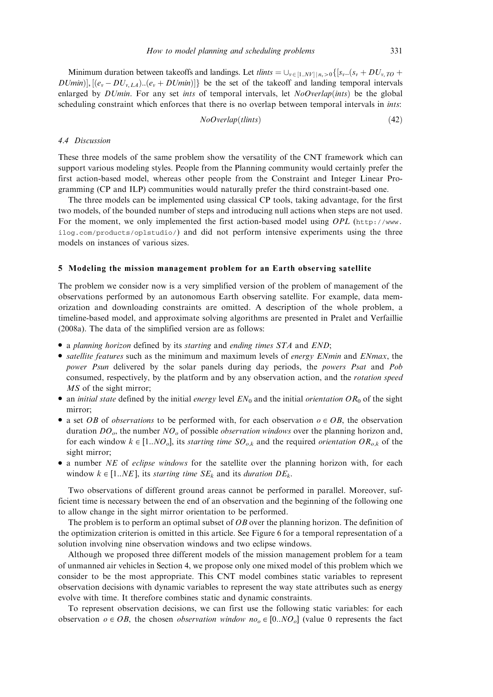Minimum duration between takeoffs and landings. Let *tlints* =  $\cup_{v \in [1..N_V]} |_{n_v > 0}$  {[ $s_v..(s_v + DU_{v,TO} + D_{v,TO})$ }]  $[DUmin]$ ,  $[(e_v - DU_{v,LA})..(e_v + DUmin)]$  be the set of the takeoff and landing temporal intervals enlarged by  $D$ Umin. For any set ints of temporal intervals, let NoOverlap(ints) be the global scheduling constraint which enforces that there is no overlap between temporal intervals in *ints*:

$$
No Overlap(tlinks) \tag{42}
$$

#### 4.4 Discussion

These three models of the same problem show the versatility of the CNT framework which can support various modeling styles. People from the Planning community would certainly prefer the first action-based model, whereas other people from the Constraint and Integer Linear Programming (CP and ILP) communities would naturally prefer the third constraint-based one.

The three models can be implemented using classical CP tools, taking advantage, for the first two models, of the bounded number of steps and introducing null actions when steps are not used. For the moment, we only implemented the first action-based model using OPL (http://www. ilog.com/products/oplstudio/) and did not perform intensive experiments using the three models on instances of various sizes.

## 5 Modeling the mission management problem for an Earth observing satellite

The problem we consider now is a very simplified version of the problem of management of the observations performed by an autonomous Earth observing satellite. For example, data memorization and downloading constraints are omitted. A description of the whole problem, a timeline-based model, and approximate solving algorithms are presented in Pralet and Verfaillie (2008a). The data of the simplified version are as follows:

- a planning horizon defined by its starting and ending times STA and END;
- satellite features such as the minimum and maximum levels of energy ENmin and ENmax, the power Psun delivered by the solar panels during day periods, the powers Psat and Pob consumed, respectively, by the platform and by any observation action, and the *rotation speed* MS of the sight mirror;
- an *initial state* defined by the initial *energy* level  $EN_0$  and the initial *orientation*  $OR_0$  of the sight mirror;
- a set *OB* of *observations* to be performed with, for each observation  $o \in OB$ , the observation duration  $DO<sub>o</sub>$ , the number  $NO<sub>o</sub>$  of possible *observation windows* over the planning horizon and, for each window  $k \in [1..NO_{o}]$ , its starting time  $SO_{o,k}$  and the required orientation  $OR_{o,k}$  of the sight mirror;
- a number NE of eclipse windows for the satellite over the planning horizon with, for each window  $k \in [1..NE]$ , its starting time  $SE_k$  and its duration  $DE_k$ .

Two observations of different ground areas cannot be performed in parallel. Moreover, sufficient time is necessary between the end of an observation and the beginning of the following one to allow change in the sight mirror orientation to be performed.

The problem is to perform an optimal subset of  $OB$  over the planning horizon. The definition of the optimization criterion is omitted in this article. See Figure 6 for a temporal representation of a solution involving nine observation windows and two eclipse windows.

Although we proposed three different models of the mission management problem for a team of unmanned air vehicles in Section 4, we propose only one mixed model of this problem which we consider to be the most appropriate. This CNT model combines static variables to represent observation decisions with dynamic variables to represent the way state attributes such as energy evolve with time. It therefore combines static and dynamic constraints.

To represent observation decisions, we can first use the following static variables: for each observation  $o \in OB$ , the chosen *observation window no<sub>o</sub>*  $\in [0..NO_o]$  (value 0 represents the fact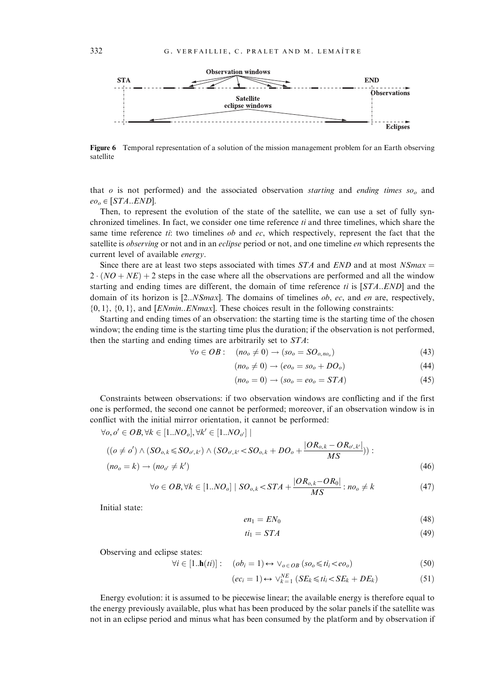

Figure 6 Temporal representation of a solution of the mission management problem for an Earth observing satellite

that  $o$  is not performed) and the associated observation *starting* and *ending times* so<sub>o</sub> and  $eo<sub>o</sub> \in [STA..END].$ 

Then, to represent the evolution of the state of the satellite, we can use a set of fully synchronized timelines. In fact, we consider one time reference  $ti$  and three timelines, which share the same time reference  $ti$ : two timelines  $ob$  and  $ec$ , which respectively, represent the fact that the satellite is *observing* or not and in an *eclipse* period or not, and one timeline *en* which represents the current level of available energy.

Since there are at least two steps associated with times  $STA$  and  $END$  and at most  $NSmax =$  $2 \cdot (NO + NE) + 2$  steps in the case where all the observations are performed and all the window starting and ending times are different, the domain of time reference ti is  $[STA..END]$  and the domain of its horizon is  $[2..NSmax]$ . The domains of timelines *ob*, *ec*, and *en* are, respectively,  $\{0, 1\}$ ,  $\{0, 1\}$ , and [*ENmin..ENmax*]. These choices result in the following constraints:

Starting and ending times of an observation: the starting time is the starting time of the chosen window; the ending time is the starting time plus the duration; if the observation is not performed, then the starting and ending times are arbitrarily set to STA:

$$
\forall o \in OB: \quad (no_o \neq 0) \rightarrow (so_o = SO_{o,no_o}) \tag{43}
$$

$$
(noo \neq 0) \rightarrow (eoo = soo + DOo)
$$
\n(44)

$$
(noo = 0) \rightarrow (soo = eoo = STA)
$$
\n(45)

Constraints between observations: if two observation windows are conflicting and if the first one is performed, the second one cannot be performed; moreover, if an observation window is in conflict with the initial mirror orientation, it cannot be performed:

 $\forall o, o' \in OB, \forall k \in [1..NO_o], \forall k' \in [1..NO_{o'}]$ 

$$
((o \neq o') \land (SO_{o,k} \leq SO_{o',k'}) \land (SO_{o',k'} < SO_{o,k} + DO_o + \frac{|OR_{o,k} - OR_{o',k'}|}{MS})) :
$$
\n
$$
(no_o = k) \rightarrow (no_{o'} \neq k') \tag{46}
$$

$$
\forall o \in OB, \forall k \in [1..NO_o] \mid SO_{o,k} < STA + \frac{|OR_{o,k} - OR_0|}{MS} : no_o \neq k \tag{47}
$$

Initial state:

$$
en_1 = EN_0 \tag{48}
$$

$$
ti_1 = STA \tag{49}
$$

Observing and eclipse states:

$$
\forall i \in [1..h(ii)] : (ob_i = 1) \leftrightarrow \vee_{o \in OB} (so_o \leq ti_i < eo_o)
$$
 (50)

$$
(ec_i = 1) \leftrightarrow \vee_{k=1}^{NE} (SE_k \leq t i_i \leq SE_k + DE_k)
$$
 (51)

Energy evolution: it is assumed to be piecewise linear; the available energy is therefore equal to the energy previously available, plus what has been produced by the solar panels if the satellite was not in an eclipse period and minus what has been consumed by the platform and by observation if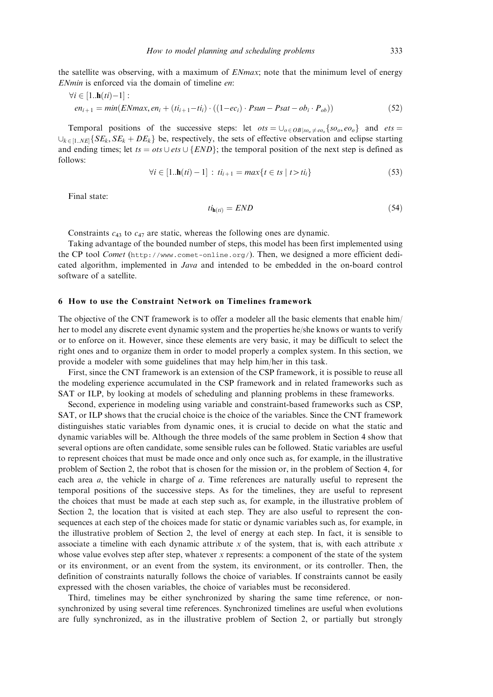the satellite was observing, with a maximum of ENmax; note that the minimum level of energy ENmin is enforced via the domain of timeline en:

$$
\forall i \in [1..h(ii)-1]:en_{i+1} = min(ENmax, en_i + (ti_{i+1}-ti_i) \cdot ((1-ec_i) \cdot Psum - Psat - ob_i \cdot P_{ob}))
$$
(52)

Temporal positions of the successive steps: let  $ots = \bigcup_{\theta \in OB|so_{\theta} \neq eo_{\theta}} \{so_{\theta}, eo_{\theta}\}\$  and  $ets = \bigcup_{\theta \in OB|so_{\theta} \neq eo_{\theta}} \{so_{\theta}, eo_{\theta}\}\$  $\cup_{k \in [1..NE]} \{ SE_k, SE_k + DE_k \}$  be, respectively, the sets of effective observation and eclipse starting and ending times; let  $ts = ots \cup (ets \cup \{END\})$ ; the temporal position of the next step is defined as follows:

$$
\forall i \in [1..h(ii) - 1] : ti_{i+1} = max\{t \in ts \mid t > ti_i\}
$$
\n(53)

Final state:

$$
ti_{h(ii)} = END \tag{54}
$$

Constraints  $c_{43}$  to  $c_{47}$  are static, whereas the following ones are dynamic.

Taking advantage of the bounded number of steps, this model has been first implemented using the CP tool Comet (http://www.comet-online.org/). Then, we designed a more efficient dedicated algorithm, implemented in Java and intended to be embedded in the on-board control software of a satellite.

#### 6 How to use the Constraint Network on Timelines framework

The objective of the CNT framework is to offer a modeler all the basic elements that enable him/ her to model any discrete event dynamic system and the properties he/she knows or wants to verify or to enforce on it. However, since these elements are very basic, it may be difficult to select the right ones and to organize them in order to model properly a complex system. In this section, we provide a modeler with some guidelines that may help him/her in this task.

First, since the CNT framework is an extension of the CSP framework, it is possible to reuse all the modeling experience accumulated in the CSP framework and in related frameworks such as SAT or ILP, by looking at models of scheduling and planning problems in these frameworks.

Second, experience in modeling using variable and constraint-based frameworks such as CSP, SAT, or ILP shows that the crucial choice is the choice of the variables. Since the CNT framework distinguishes static variables from dynamic ones, it is crucial to decide on what the static and dynamic variables will be. Although the three models of the same problem in Section 4 show that several options are often candidate, some sensible rules can be followed. Static variables are useful to represent choices that must be made once and only once such as, for example, in the illustrative problem of Section 2, the robot that is chosen for the mission or, in the problem of Section 4, for each area a, the vehicle in charge of a. Time references are naturally useful to represent the temporal positions of the successive steps. As for the timelines, they are useful to represent the choices that must be made at each step such as, for example, in the illustrative problem of Section 2, the location that is visited at each step. They are also useful to represent the consequences at each step of the choices made for static or dynamic variables such as, for example, in the illustrative problem of Section 2, the level of energy at each step. In fact, it is sensible to associate a timeline with each dynamic attribute x of the system, that is, with each attribute  $x$ whose value evolves step after step, whatever x represents: a component of the state of the system or its environment, or an event from the system, its environment, or its controller. Then, the definition of constraints naturally follows the choice of variables. If constraints cannot be easily expressed with the chosen variables, the choice of variables must be reconsidered.

Third, timelines may be either synchronized by sharing the same time reference, or nonsynchronized by using several time references. Synchronized timelines are useful when evolutions are fully synchronized, as in the illustrative problem of Section 2, or partially but strongly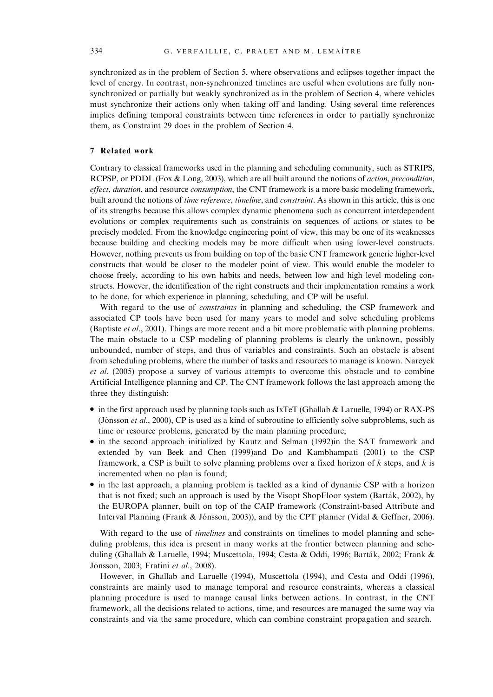synchronized as in the problem of Section 5, where observations and eclipses together impact the level of energy. In contrast, non-synchronized timelines are useful when evolutions are fully nonsynchronized or partially but weakly synchronized as in the problem of Section 4, where vehicles must synchronize their actions only when taking off and landing. Using several time references implies defining temporal constraints between time references in order to partially synchronize them, as Constraint 29 does in the problem of Section 4.

## 7 Related work

Contrary to classical frameworks used in the planning and scheduling community, such as STRIPS, RCPSP, or PDDL (Fox & Long, 2003), which are all built around the notions of *action*, *precondition*, effect, duration, and resource *consumption*, the CNT framework is a more basic modeling framework, built around the notions of *time reference*, *timeline*, and *constraint*. As shown in this article, this is one of its strengths because this allows complex dynamic phenomena such as concurrent interdependent evolutions or complex requirements such as constraints on sequences of actions or states to be precisely modeled. From the knowledge engineering point of view, this may be one of its weaknesses because building and checking models may be more difficult when using lower-level constructs. However, nothing prevents us from building on top of the basic CNT framework generic higher-level constructs that would be closer to the modeler point of view. This would enable the modeler to choose freely, according to his own habits and needs, between low and high level modeling constructs. However, the identification of the right constructs and their implementation remains a work to be done, for which experience in planning, scheduling, and CP will be useful.

With regard to the use of *constraints* in planning and scheduling, the CSP framework and associated CP tools have been used for many years to model and solve scheduling problems (Baptiste et al., 2001). Things are more recent and a bit more problematic with planning problems. The main obstacle to a CSP modeling of planning problems is clearly the unknown, possibly unbounded, number of steps, and thus of variables and constraints. Such an obstacle is absent from scheduling problems, where the number of tasks and resources to manage is known. Nareyek et al. (2005) propose a survey of various attempts to overcome this obstacle and to combine Artificial Intelligence planning and CP. The CNT framework follows the last approach among the three they distinguish:

- <sup>&</sup>gt; in the first approach used by planning tools such as IxTeT (Ghallab & Laruelle, 1994) or RAX-PS (Jónsson et al., 2000), CP is used as a kind of subroutine to efficiently solve subproblems, such as time or resource problems, generated by the main planning procedure;
- <sup>&</sup>gt; in the second approach initialized by Kautz and Selman (1992)in the SAT framework and extended by van Beek and Chen (1999)and Do and Kambhampati (2001) to the CSP framework, a CSP is built to solve planning problems over a fixed horizon of  $k$  steps, and  $k$  is incremented when no plan is found;
- <sup>&</sup>gt; in the last approach, a planning problem is tackled as a kind of dynamic CSP with a horizon that is not fixed; such an approach is used by the Visopt ShopFloor system (Barták, 2002), by the EUROPA planner, built on top of the CAIP framework (Constraint-based Attribute and Interval Planning (Frank  $&$  Jónsson, 2003)), and by the CPT planner (Vidal  $&$  Geffner, 2006).

With regard to the use of *timelines* and constraints on timelines to model planning and scheduling problems, this idea is present in many works at the frontier between planning and scheduling (Ghallab & Laruelle, 1994; Muscettola, 1994; Cesta & Oddi, 1996; Barták, 2002; Frank & Jónsson, 2003; Fratini et al., 2008).

However, in Ghallab and Laruelle (1994), Muscettola (1994), and Cesta and Oddi (1996), constraints are mainly used to manage temporal and resource constraints, whereas a classical planning procedure is used to manage causal links between actions. In contrast, in the CNT framework, all the decisions related to actions, time, and resources are managed the same way via constraints and via the same procedure, which can combine constraint propagation and search.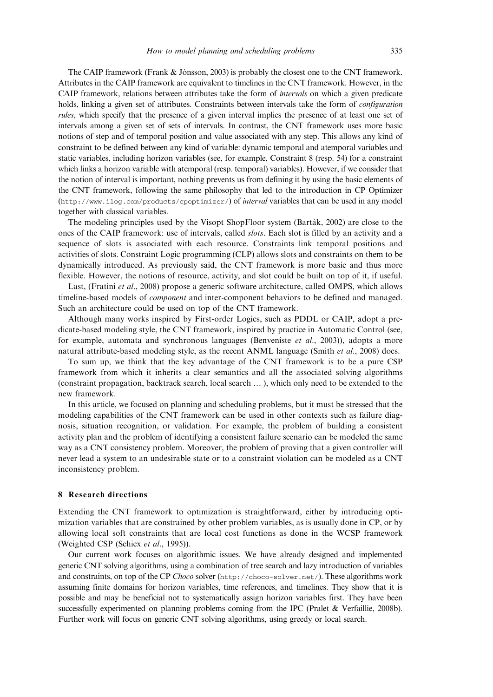The CAIP framework (Frank  $& Jónsson, 2003$ ) is probably the closest one to the CNT framework. Attributes in the CAIP framework are equivalent to timelines in the CNT framework. However, in the CAIP framework, relations between attributes take the form of intervals on which a given predicate holds, linking a given set of attributes. Constraints between intervals take the form of configuration rules, which specify that the presence of a given interval implies the presence of at least one set of intervals among a given set of sets of intervals. In contrast, the CNT framework uses more basic notions of step and of temporal position and value associated with any step. This allows any kind of constraint to be defined between any kind of variable: dynamic temporal and atemporal variables and static variables, including horizon variables (see, for example, Constraint 8 (resp. 54) for a constraint which links a horizon variable with atemporal (resp. temporal) variables). However, if we consider that the notion of interval is important, nothing prevents us from defining it by using the basic elements of the CNT framework, following the same philosophy that led to the introduction in CP Optimizer (http://www.ilog.com/products/cpoptimizer/) of interval variables that can be used in any model together with classical variables.

The modeling principles used by the Visopt ShopFloor system (Barták, 2002) are close to the ones of the CAIP framework: use of intervals, called slots. Each slot is filled by an activity and a sequence of slots is associated with each resource. Constraints link temporal positions and activities of slots. Constraint Logic programming (CLP) allows slots and constraints on them to be dynamically introduced. As previously said, the CNT framework is more basic and thus more flexible. However, the notions of resource, activity, and slot could be built on top of it, if useful.

Last, (Fratini et al., 2008) propose a generic software architecture, called OMPS, which allows timeline-based models of component and inter-component behaviors to be defined and managed. Such an architecture could be used on top of the CNT framework.

Although many works inspired by First-order Logics, such as PDDL or CAIP, adopt a predicate-based modeling style, the CNT framework, inspired by practice in Automatic Control (see, for example, automata and synchronous languages (Benveniste et al., 2003)), adopts a more natural attribute-based modeling style, as the recent ANML language (Smith et al., 2008) does.

To sum up, we think that the key advantage of the CNT framework is to be a pure CSP framework from which it inherits a clear semantics and all the associated solving algorithms (constraint propagation, backtrack search, local search ...), which only need to be extended to the new framework.

In this article, we focused on planning and scheduling problems, but it must be stressed that the modeling capabilities of the CNT framework can be used in other contexts such as failure diagnosis, situation recognition, or validation. For example, the problem of building a consistent activity plan and the problem of identifying a consistent failure scenario can be modeled the same way as a CNT consistency problem. Moreover, the problem of proving that a given controller will never lead a system to an undesirable state or to a constraint violation can be modeled as a CNT inconsistency problem.

## 8 Research directions

Extending the CNT framework to optimization is straightforward, either by introducing optimization variables that are constrained by other problem variables, as is usually done in CP, or by allowing local soft constraints that are local cost functions as done in the WCSP framework (Weighted CSP (Schiex et al., 1995)).

Our current work focuses on algorithmic issues. We have already designed and implemented generic CNT solving algorithms, using a combination of tree search and lazy introduction of variables and constraints, on top of the CP Choco solver (http://choco-solver.net/). These algorithms work assuming finite domains for horizon variables, time references, and timelines. They show that it is possible and may be beneficial not to systematically assign horizon variables first. They have been successfully experimented on planning problems coming from the IPC (Pralet & Verfaillie, 2008b). Further work will focus on generic CNT solving algorithms, using greedy or local search.